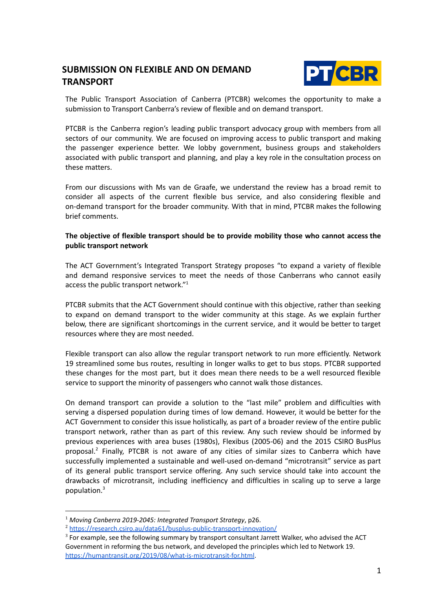# **SUBMISSION ON FLEXIBLE AND ON DEMAND TRANSPORT**



The Public Transport Association of Canberra (PTCBR) welcomes the opportunity to make a submission to Transport Canberra's review of flexible and on demand transport.

PTCBR is the Canberra region's leading public transport advocacy group with members from all sectors of our community. We are focused on improving access to public transport and making the passenger experience better. We lobby government, business groups and stakeholders associated with public transport and planning, and play a key role in the consultation process on these matters.

From our discussions with Ms van de Graafe, we understand the review has a broad remit to consider all aspects of the current flexible bus service, and also considering flexible and on-demand transport for the broader community. With that in mind, PTCBR makes the following brief comments.

## **The objective of flexible transport should be to provide mobility those who cannot access the public transport network**

The ACT Government's Integrated Transport Strategy proposes "to expand a variety of flexible and demand responsive services to meet the needs of those Canberrans who cannot easily access the public transport network."<sup>1</sup>

PTCBR submits that the ACT Government should continue with this objective, rather than seeking to expand on demand transport to the wider community at this stage. As we explain further below, there are significant shortcomings in the current service, and it would be better to target resources where they are most needed.

Flexible transport can also allow the regular transport network to run more efficiently. Network 19 streamlined some bus routes, resulting in longer walks to get to bus stops. PTCBR supported these changes for the most part, but it does mean there needs to be a well resourced flexible service to support the minority of passengers who cannot walk those distances.

On demand transport can provide a solution to the "last mile" problem and difficulties with serving a dispersed population during times of low demand. However, it would be better for the ACT Government to consider this issue holistically, as part of a broader review of the entire public transport network, rather than as part of this review. Any such review should be informed by previous experiences with area buses (1980s), Flexibus (2005-06) and the 2015 CSIRO BusPlus proposal.<sup>2</sup> Finally, PTCBR is not aware of any cities of similar sizes to Canberra which have successfully implemented a sustainable and well-used on-demand "microtransit" service as part of its general public transport service offering. Any such service should take into account the drawbacks of microtransit, including inefficiency and difficulties in scaling up to serve a large population. 3

<sup>1</sup> *Moving Canberra 2019-2045: Integrated Transport Strategy*, p26.

<sup>2</sup> <https://research.csiro.au/data61/busplus-public-transport-innovation/>

 $3$  For example, see the following summary by transport consultant Jarrett Walker, who advised the ACT Government in reforming the bus network, and developed the principles which led to Network 19. <https://humantransit.org/2019/08/what-is-microtransit-for.html>.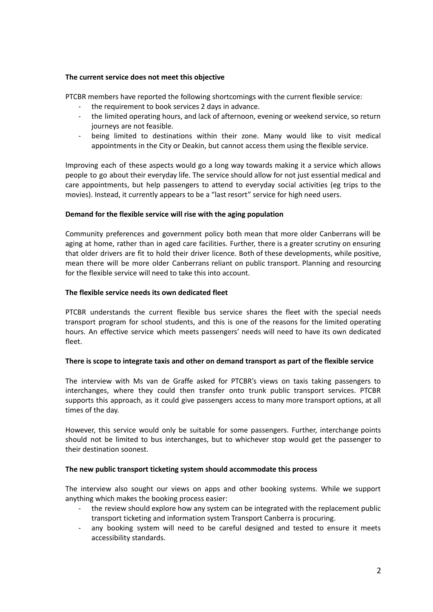### **The current service does not meet this objective**

PTCBR members have reported the following shortcomings with the current flexible service:

- the requirement to book services 2 days in advance.
- the limited operating hours, and lack of afternoon, evening or weekend service, so return journeys are not feasible.
- being limited to destinations within their zone. Many would like to visit medical appointments in the City or Deakin, but cannot access them using the flexible service.

Improving each of these aspects would go a long way towards making it a service which allows people to go about their everyday life. The service should allow for not just essential medical and care appointments, but help passengers to attend to everyday social activities (eg trips to the movies). Instead, it currently appears to be a "last resort" service for high need users.

### **Demand for the flexible service will rise with the aging population**

Community preferences and government policy both mean that more older Canberrans will be aging at home, rather than in aged care facilities. Further, there is a greater scrutiny on ensuring that older drivers are fit to hold their driver licence. Both of these developments, while positive, mean there will be more older Canberrans reliant on public transport. Planning and resourcing for the flexible service will need to take this into account.

#### **The flexible service needs its own dedicated fleet**

PTCBR understands the current flexible bus service shares the fleet with the special needs transport program for school students, and this is one of the reasons for the limited operating hours. An effective service which meets passengers' needs will need to have its own dedicated fleet.

#### **There is scope to integrate taxis and other on demand transport as part of the flexible service**

The interview with Ms van de Graffe asked for PTCBR's views on taxis taking passengers to interchanges, where they could then transfer onto trunk public transport services. PTCBR supports this approach, as it could give passengers access to many more transport options, at all times of the day.

However, this service would only be suitable for some passengers. Further, interchange points should not be limited to bus interchanges, but to whichever stop would get the passenger to their destination soonest.

### **The new public transport ticketing system should accommodate this process**

The interview also sought our views on apps and other booking systems. While we support anything which makes the booking process easier:

- the review should explore how any system can be integrated with the replacement public transport ticketing and information system Transport Canberra is procuring.
- any booking system will need to be careful designed and tested to ensure it meets accessibility standards.